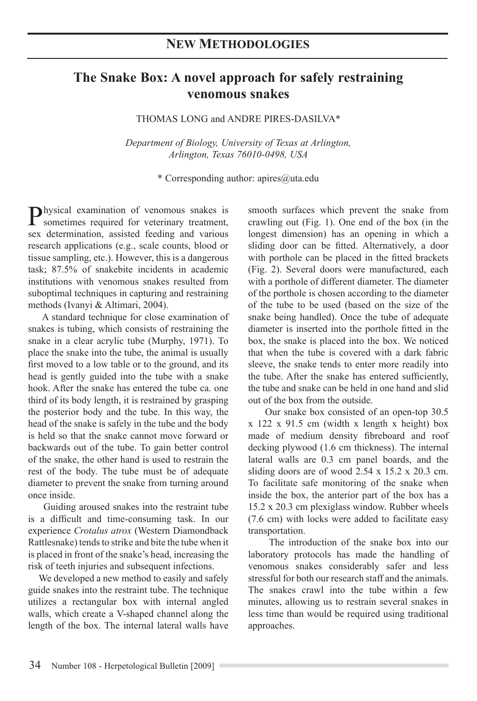## **The Snake Box: A novel approach for safely restraining venomous snakes**

THOMAS LONG and ANDRE PIRES-DASILVA\*

*Department of Biology, University of Texas at Arlington, Arlington, Texas 76010-0498, USA*

\* Corresponding author: apires@uta.edu

Physical examination of venomous snakes is sometimes required for veterinary treatment, sex determination, assisted feeding and various research applications (e.g., scale counts, blood or tissue sampling, etc.). However, this is a dangerous task; 87.5% of snakebite incidents in academic institutions with venomous snakes resulted from suboptimal techniques in capturing and restraining methods (Ivanyi & Altimari, 2004).

A standard technique for close examination of snakes is tubing, which consists of restraining the snake in a clear acrylic tube (Murphy, 1971). To place the snake into the tube, the animal is usually first moved to a low table or to the ground, and its head is gently guided into the tube with a snake hook. After the snake has entered the tube ca. one third of its body length, it is restrained by grasping the posterior body and the tube. In this way, the head of the snake is safely in the tube and the body is held so that the snake cannot move forward or backwards out of the tube. To gain better control of the snake, the other hand is used to restrain the rest of the body. The tube must be of adequate diameter to prevent the snake from turning around once inside.

 Guiding aroused snakes into the restraint tube is a difficult and time-consuming task. In our experience *Crotalus atrox* (Western Diamondback Rattlesnake) tends to strike and bite the tube when it is placed in front of the snake's head, increasing the risk of teeth injuries and subsequent infections.

 We developed a new method to easily and safely guide snakes into the restraint tube. The technique utilizes a rectangular box with internal angled walls, which create a V-shaped channel along the length of the box. The internal lateral walls have smooth surfaces which prevent the snake from crawling out (Fig. 1). One end of the box (in the longest dimension) has an opening in which a sliding door can be fitted. Alternatively, a door with porthole can be placed in the fitted brackets (Fig. 2). Several doors were manufactured, each with a porthole of different diameter. The diameter of the porthole is chosen according to the diameter of the tube to be used (based on the size of the snake being handled). Once the tube of adequate diameter is inserted into the porthole fitted in the box, the snake is placed into the box. We noticed that when the tube is covered with a dark fabric sleeve, the snake tends to enter more readily into the tube. After the snake has entered sufficiently, the tube and snake can be held in one hand and slid out of the box from the outside.

 Our snake box consisted of an open-top 30.5 x 122 x 91.5 cm (width x length x height) box made of medium density fibreboard and roof decking plywood (1.6 cm thickness). The internal lateral walls are 0.3 cm panel boards, and the sliding doors are of wood 2.54 x 15.2 x 20.3 cm. To facilitate safe monitoring of the snake when inside the box, the anterior part of the box has a 15.2 x 20.3 cm plexiglass window. Rubber wheels (7.6 cm) with locks were added to facilitate easy transportation.

 The introduction of the snake box into our laboratory protocols has made the handling of venomous snakes considerably safer and less stressful for both our research staff and the animals. The snakes crawl into the tube within a few minutes, allowing us to restrain several snakes in less time than would be required using traditional approaches.